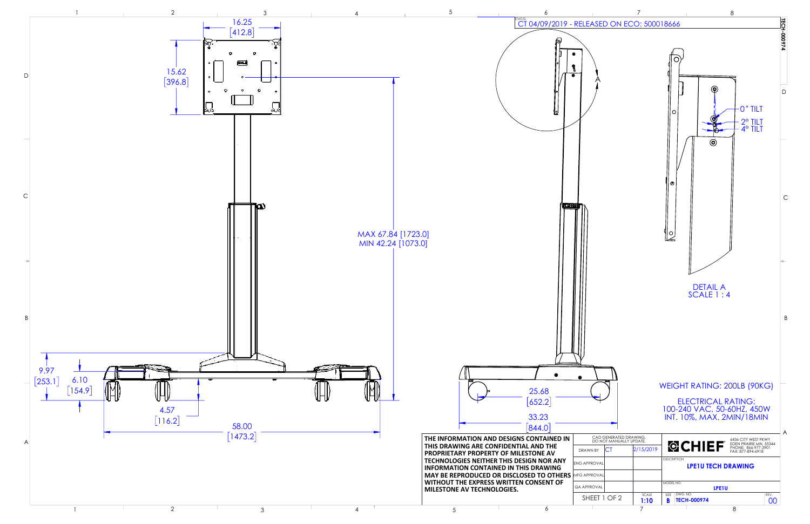